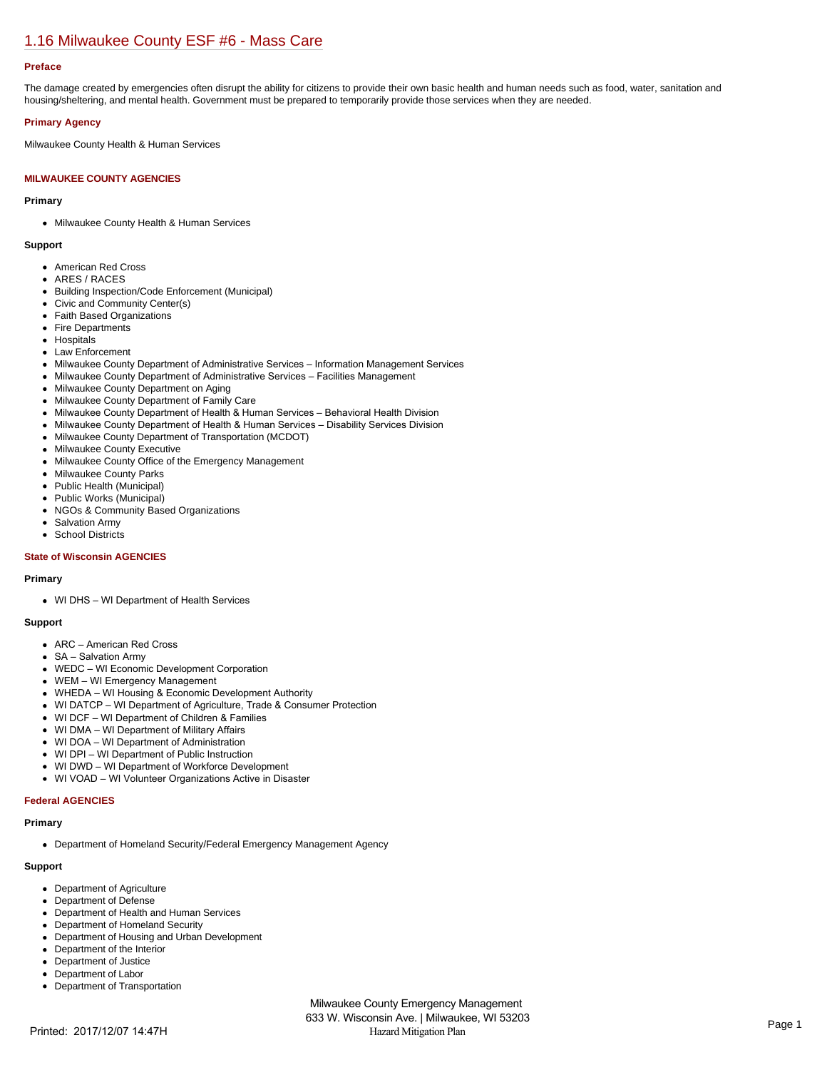## [1.16 Milwaukee County ESF #6 - Mass Care](https://milwaukeecounty.isc-cemp.com/Cemp/Details?id=5805894)

### **Preface**

The damage created by emergencies often disrupt the ability for citizens to provide their own basic health and human needs such as food, water, sanitation and housing/sheltering, and mental health. Government must be prepared to temporarily provide those services when they are needed.

### **Primary Agency**

Milwaukee County Health & Human Services

### **MILWAUKEE COUNTY AGENCIES**

### **Primary**

Milwaukee County Health & Human Services

### **Support**

- American Red Cross
- ARES / RACES
- Building Inspection/Code Enforcement (Municipal)
- Civic and Community Center(s)
- Faith Based Organizations
- Fire Departments
- Hospitals
- Law Enforcement
- Milwaukee County Department of Administrative Services Information Management Services
- Milwaukee County Department of Administrative Services Facilities Management
- Milwaukee County Department on Aging
- Milwaukee County Department of Family Care
- Milwaukee County Department of Health & Human Services Behavioral Health Division
- Milwaukee County Department of Health & Human Services Disability Services Division
- Milwaukee County Department of Transportation (MCDOT)
- Milwaukee County Executive
- Milwaukee County Office of the Emergency Management
- $\bullet$ Milwaukee County Parks
- Public Health (Municipal)  $\bullet$
- $\bullet$ Public Works (Municipal)
- $\bullet$ NGOs & Community Based Organizations
- Salvation Army  $\bullet$
- School Districts

### **State of Wisconsin AGENCIES**

#### **Primary**

WI DHS – WI Department of Health Services

#### **Support**

- ARC American Red Cross
- SA Salvation Army
- WEDC WI Economic Development Corporation
- WEM WI Emergency Management
- WHEDA WI Housing & Economic Development Authority
- WI DATCP WI Department of Agriculture, Trade & Consumer Protection
- WI DCF WI Department of Children & Families
- WI DMA WI Department of Military Affairs
- WI DOA WI Department of Administration
- WI DPI WI Department of Public Instruction
- WI DWD WI Department of Workforce Development
- WI VOAD WI Volunteer Organizations Active in Disaster

### **Federal AGENCIES**

### **Primary**

Department of Homeland Security/Federal Emergency Management Agency

### **Support**

- Department of Agriculture
- Department of Defense  $\bullet$
- Department of Health and Human Services
- Department of Homeland Security
- Department of Housing and Urban Development
- Department of the Interior  $\bullet$
- $\bullet$ Department of Justice
- Department of Labor
- Department of Transportation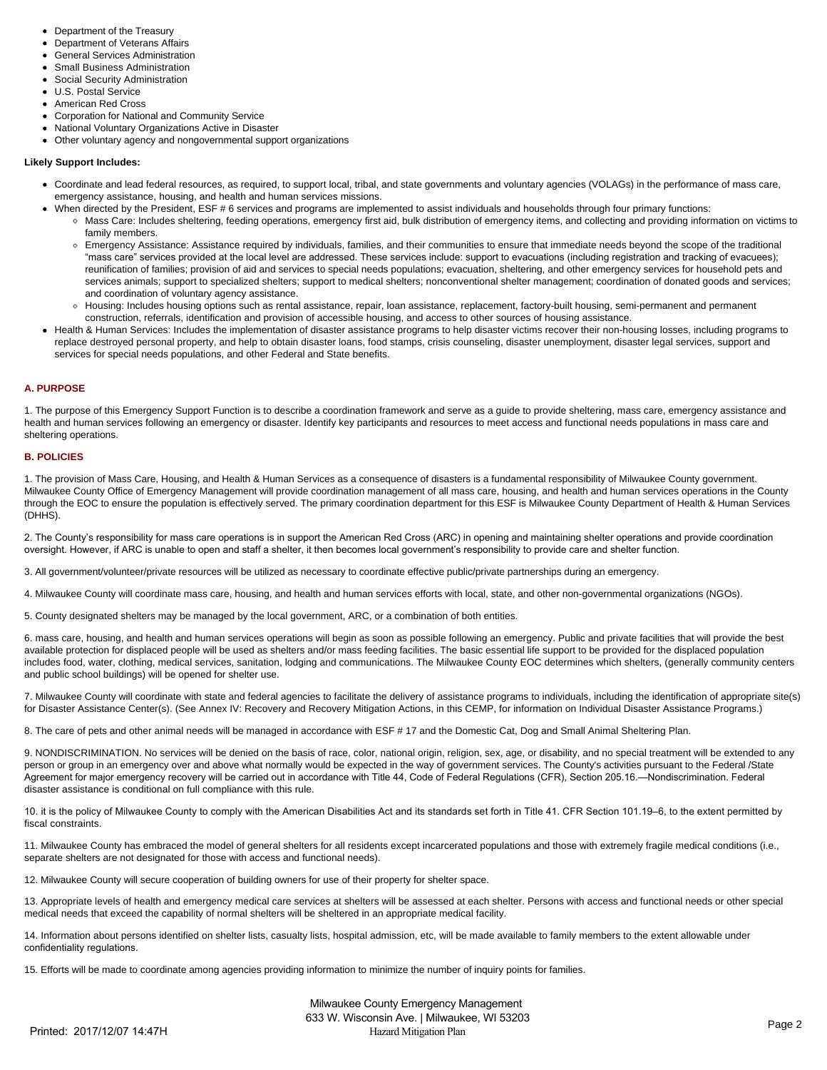- Department of the Treasury
- Department of Veterans Affairs
- General Services Administration
- Small Business Administration
- Social Security Administration
- U.S. Postal Service
- American Red Cross
- Corporation for National and Community Service
- National Voluntary Organizations Active in Disaster
- Other voluntary agency and nongovernmental support organizations

### **Likely Support Includes:**

- Coordinate and lead federal resources, as required, to support local, tribal, and state governments and voluntary agencies (VOLAGs) in the performance of mass care, emergency assistance, housing, and health and human services missions.
	- When directed by the President, ESF # 6 services and programs are implemented to assist individuals and households through four primary functions:
		- Mass Care: Includes sheltering, feeding operations, emergency first aid, bulk distribution of emergency items, and collecting and providing information on victims to family members.
		- Emergency Assistance: Assistance required by individuals, families, and their communities to ensure that immediate needs beyond the scope of the traditional "mass care" services provided at the local level are addressed. These services include: support to evacuations (including registration and tracking of evacuees); reunification of families; provision of aid and services to special needs populations; evacuation, sheltering, and other emergency services for household pets and services animals; support to specialized shelters; support to medical shelters; nonconventional shelter management; coordination of donated goods and services; and coordination of voluntary agency assistance.
		- Housing: Includes housing options such as rental assistance, repair, loan assistance, replacement, factory-built housing, semi-permanent and permanent construction, referrals, identification and provision of accessible housing, and access to other sources of housing assistance.
- Health & Human Services: Includes the implementation of disaster assistance programs to help disaster victims recover their non-housing losses, including programs to replace destroyed personal property, and help to obtain disaster loans, food stamps, crisis counseling, disaster unemployment, disaster legal services, support and services for special needs populations, and other Federal and State benefits.

### **A. PURPOSE**

1. The purpose of this Emergency Support Function is to describe a coordination framework and serve as a guide to provide sheltering, mass care, emergency assistance and health and human services following an emergency or disaster. Identify key participants and resources to meet access and functional needs populations in mass care and sheltering operations.

### **B. POLICIES**

1. The provision of Mass Care, Housing, and Health & Human Services as a consequence of disasters is a fundamental responsibility of Milwaukee County government. Milwaukee County Office of Emergency Management will provide coordination management of all mass care, housing, and health and human services operations in the County through the EOC to ensure the population is effectively served. The primary coordination department for this ESF is Milwaukee County Department of Health & Human Services (DHHS).

2. The County's responsibility for mass care operations is in support the American Red Cross (ARC) in opening and maintaining shelter operations and provide coordination oversight. However, if ARC is unable to open and staff a shelter, it then becomes local government's responsibility to provide care and shelter function.

3. All government/volunteer/private resources will be utilized as necessary to coordinate effective public/private partnerships during an emergency.

4. Milwaukee County will coordinate mass care, housing, and health and human services efforts with local, state, and other non-governmental organizations (NGOs).

5. County designated shelters may be managed by the local government, ARC, or a combination of both entities.

6. mass care, housing, and health and human services operations will begin as soon as possible following an emergency. Public and private facilities that will provide the best available protection for displaced people will be used as shelters and/or mass feeding facilities. The basic essential life support to be provided for the displaced population includes food, water, clothing, medical services, sanitation, lodging and communications. The Milwaukee County EOC determines which shelters, (generally community centers and public school buildings) will be opened for shelter use.

7. Milwaukee County will coordinate with state and federal agencies to facilitate the delivery of assistance programs to individuals, including the identification of appropriate site(s) for Disaster Assistance Center(s). (See Annex IV: Recovery and Recovery Mitigation Actions, in this CEMP, for information on Individual Disaster Assistance Programs.)

8. The care of pets and other animal needs will be managed in accordance with ESF # 17 and the Domestic Cat, Dog and Small Animal Sheltering Plan.

9. NONDISCRIMINATION. No services will be denied on the basis of race, color, national origin, religion, sex, age, or disability, and no special treatment will be extended to any person or group in an emergency over and above what normally would be expected in the way of government services. The County's activities pursuant to the Federal /State Agreement for major emergency recovery will be carried out in accordance with Title 44, Code of Federal Regulations (CFR), Section 205.16.—Nondiscrimination. Federal disaster assistance is conditional on full compliance with this rule.

10. it is the policy of Milwaukee County to comply with the American Disabilities Act and its standards set forth in Title 41. CFR Section 101.19–6, to the extent permitted by fiscal constraints.

11. Milwaukee County has embraced the model of general shelters for all residents except incarcerated populations and those with extremely fragile medical conditions (i.e., separate shelters are not designated for those with access and functional needs).

12. Milwaukee County will secure cooperation of building owners for use of their property for shelter space.

13. Appropriate levels of health and emergency medical care services at shelters will be assessed at each shelter. Persons with access and functional needs or other special medical needs that exceed the capability of normal shelters will be sheltered in an appropriate medical facility.

14. Information about persons identified on shelter lists, casualty lists, hospital admission, etc, will be made available to family members to the extent allowable under confidentiality regulations.

15. Efforts will be made to coordinate among agencies providing information to minimize the number of inquiry points for families.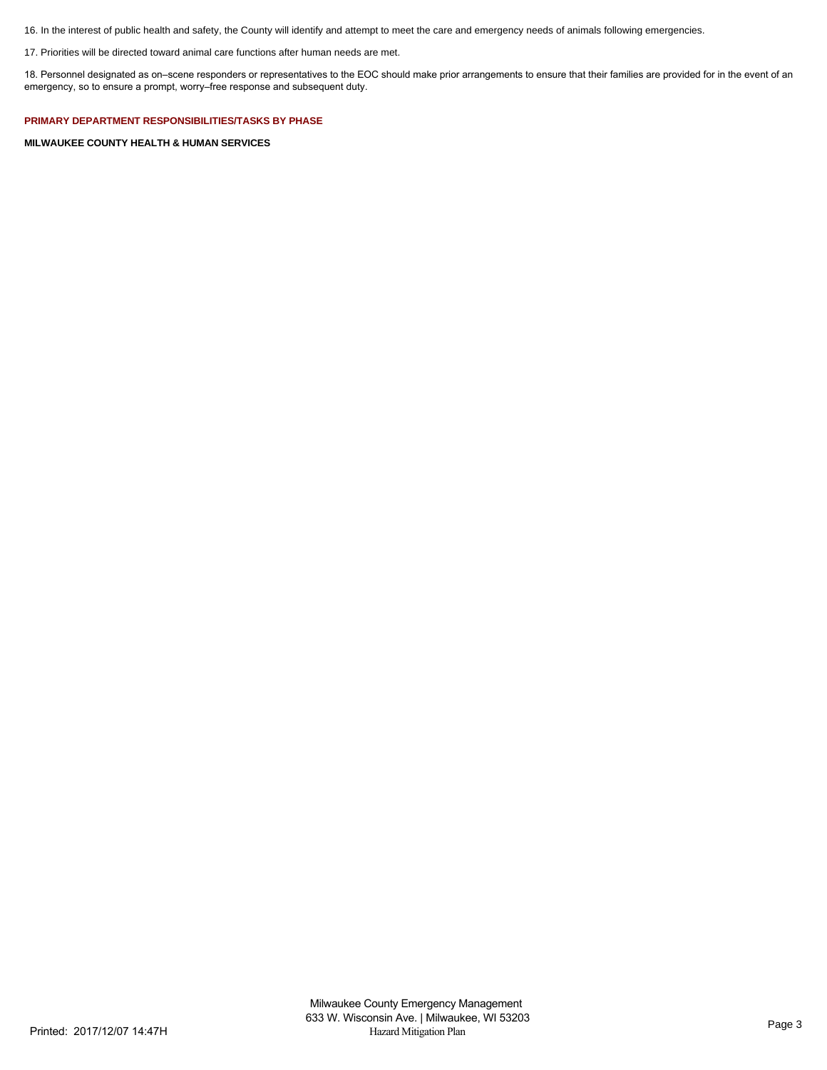16. In the interest of public health and safety, the County will identify and attempt to meet the care and emergency needs of animals following emergencies.

17. Priorities will be directed toward animal care functions after human needs are met.

18. Personnel designated as on–scene responders or representatives to the EOC should make prior arrangements to ensure that their families are provided for in the event of an emergency, so to ensure a prompt, worry–free response and subsequent duty.

**PRIMARY DEPARTMENT RESPONSIBILITIES/TASKS BY PHASE**

**MILWAUKEE COUNTY HEALTH & HUMAN SERVICES**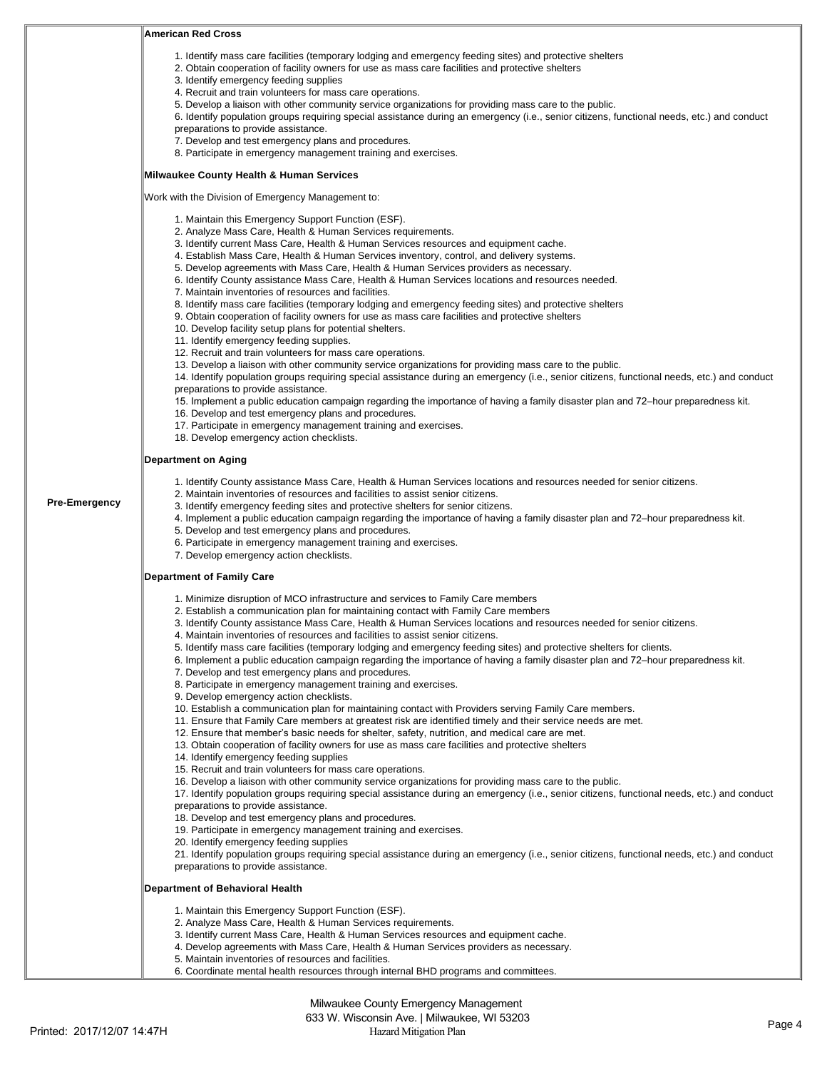|                      | <b>American Red Cross</b>                                                                                                                                                                                                                                                                                                                                                                                                                                                                                                                                                                                                                                                                                                                                                                                                                                                                                                                                                                                                                                                                                                                                                                                                                                                                                                                                                                                                                                                                                                                                                                                                                                                                                                                                                                                                                                                                                                                                                                                               |
|----------------------|-------------------------------------------------------------------------------------------------------------------------------------------------------------------------------------------------------------------------------------------------------------------------------------------------------------------------------------------------------------------------------------------------------------------------------------------------------------------------------------------------------------------------------------------------------------------------------------------------------------------------------------------------------------------------------------------------------------------------------------------------------------------------------------------------------------------------------------------------------------------------------------------------------------------------------------------------------------------------------------------------------------------------------------------------------------------------------------------------------------------------------------------------------------------------------------------------------------------------------------------------------------------------------------------------------------------------------------------------------------------------------------------------------------------------------------------------------------------------------------------------------------------------------------------------------------------------------------------------------------------------------------------------------------------------------------------------------------------------------------------------------------------------------------------------------------------------------------------------------------------------------------------------------------------------------------------------------------------------------------------------------------------------|
|                      | 1. Identify mass care facilities (temporary lodging and emergency feeding sites) and protective shelters<br>2. Obtain cooperation of facility owners for use as mass care facilities and protective shelters<br>3. Identify emergency feeding supplies<br>4. Recruit and train volunteers for mass care operations.<br>5. Develop a liaison with other community service organizations for providing mass care to the public.<br>6. Identify population groups requiring special assistance during an emergency (i.e., senior citizens, functional needs, etc.) and conduct<br>preparations to provide assistance.<br>7. Develop and test emergency plans and procedures.<br>8. Participate in emergency management training and exercises.                                                                                                                                                                                                                                                                                                                                                                                                                                                                                                                                                                                                                                                                                                                                                                                                                                                                                                                                                                                                                                                                                                                                                                                                                                                                             |
|                      | Milwaukee County Health & Human Services                                                                                                                                                                                                                                                                                                                                                                                                                                                                                                                                                                                                                                                                                                                                                                                                                                                                                                                                                                                                                                                                                                                                                                                                                                                                                                                                                                                                                                                                                                                                                                                                                                                                                                                                                                                                                                                                                                                                                                                |
|                      | Work with the Division of Emergency Management to:                                                                                                                                                                                                                                                                                                                                                                                                                                                                                                                                                                                                                                                                                                                                                                                                                                                                                                                                                                                                                                                                                                                                                                                                                                                                                                                                                                                                                                                                                                                                                                                                                                                                                                                                                                                                                                                                                                                                                                      |
|                      | 1. Maintain this Emergency Support Function (ESF).<br>2. Analyze Mass Care, Health & Human Services requirements.<br>3. Identify current Mass Care, Health & Human Services resources and equipment cache.<br>4. Establish Mass Care, Health & Human Services inventory, control, and delivery systems.<br>5. Develop agreements with Mass Care, Health & Human Services providers as necessary.<br>6. Identify County assistance Mass Care, Health & Human Services locations and resources needed.<br>7. Maintain inventories of resources and facilities.<br>8. Identify mass care facilities (temporary lodging and emergency feeding sites) and protective shelters<br>9. Obtain cooperation of facility owners for use as mass care facilities and protective shelters<br>10. Develop facility setup plans for potential shelters.<br>11. Identify emergency feeding supplies.<br>12. Recruit and train volunteers for mass care operations.<br>13. Develop a liaison with other community service organizations for providing mass care to the public.<br>14. Identify population groups requiring special assistance during an emergency (i.e., senior citizens, functional needs, etc.) and conduct<br>preparations to provide assistance.<br>15. Implement a public education campaign regarding the importance of having a family disaster plan and 72–hour preparedness kit.<br>16. Develop and test emergency plans and procedures.<br>17. Participate in emergency management training and exercises.<br>18. Develop emergency action checklists.                                                                                                                                                                                                                                                                                                                                                                                                                                                         |
|                      | <b>Department on Aging</b>                                                                                                                                                                                                                                                                                                                                                                                                                                                                                                                                                                                                                                                                                                                                                                                                                                                                                                                                                                                                                                                                                                                                                                                                                                                                                                                                                                                                                                                                                                                                                                                                                                                                                                                                                                                                                                                                                                                                                                                              |
| <b>Pre-Emergency</b> | 1. Identify County assistance Mass Care, Health & Human Services locations and resources needed for senior citizens.<br>2. Maintain inventories of resources and facilities to assist senior citizens.<br>3. Identify emergency feeding sites and protective shelters for senior citizens.<br>4. Implement a public education campaign regarding the importance of having a family disaster plan and 72–hour preparedness kit.<br>5. Develop and test emergency plans and procedures.<br>6. Participate in emergency management training and exercises.<br>7. Develop emergency action checklists.                                                                                                                                                                                                                                                                                                                                                                                                                                                                                                                                                                                                                                                                                                                                                                                                                                                                                                                                                                                                                                                                                                                                                                                                                                                                                                                                                                                                                      |
|                      | <b>Department of Family Care</b>                                                                                                                                                                                                                                                                                                                                                                                                                                                                                                                                                                                                                                                                                                                                                                                                                                                                                                                                                                                                                                                                                                                                                                                                                                                                                                                                                                                                                                                                                                                                                                                                                                                                                                                                                                                                                                                                                                                                                                                        |
|                      | 1. Minimize disruption of MCO infrastructure and services to Family Care members<br>2. Establish a communication plan for maintaining contact with Family Care members<br>3. Identify County assistance Mass Care, Health & Human Services locations and resources needed for senior citizens.<br>4. Maintain inventories of resources and facilities to assist senior citizens.<br>5. Identify mass care facilities (temporary lodging and emergency feeding sites) and protective shelters for clients.<br>6. Implement a public education campaign regarding the importance of having a family disaster plan and 72–hour preparedness kit.<br>7. Develop and test emergency plans and procedures.<br>8. Participate in emergency management training and exercises.<br>9. Develop emergency action checklists.<br>10. Establish a communication plan for maintaining contact with Providers serving Family Care members.<br>11. Ensure that Family Care members at greatest risk are identified timely and their service needs are met.<br>12. Ensure that member's basic needs for shelter, safety, nutrition, and medical care are met.<br>13. Obtain cooperation of facility owners for use as mass care facilities and protective shelters<br>14. Identify emergency feeding supplies<br>15. Recruit and train volunteers for mass care operations.<br>16. Develop a liaison with other community service organizations for providing mass care to the public.<br>17. Identify population groups requiring special assistance during an emergency (i.e., senior citizens, functional needs, etc.) and conduct<br>preparations to provide assistance.<br>18. Develop and test emergency plans and procedures.<br>19. Participate in emergency management training and exercises.<br>20. Identify emergency feeding supplies<br>21. Identify population groups requiring special assistance during an emergency (i.e., senior citizens, functional needs, etc.) and conduct<br>preparations to provide assistance. |
|                      | Department of Behavioral Health                                                                                                                                                                                                                                                                                                                                                                                                                                                                                                                                                                                                                                                                                                                                                                                                                                                                                                                                                                                                                                                                                                                                                                                                                                                                                                                                                                                                                                                                                                                                                                                                                                                                                                                                                                                                                                                                                                                                                                                         |
|                      | 1. Maintain this Emergency Support Function (ESF).<br>2. Analyze Mass Care, Health & Human Services requirements.<br>3. Identify current Mass Care, Health & Human Services resources and equipment cache.<br>4. Develop agreements with Mass Care, Health & Human Services providers as necessary.<br>5. Maintain inventories of resources and facilities.<br>6. Coordinate mental health resources through internal BHD programs and committees.                                                                                                                                                                                                                                                                                                                                                                                                                                                                                                                                                                                                                                                                                                                                                                                                                                                                                                                                                                                                                                                                                                                                                                                                                                                                                                                                                                                                                                                                                                                                                                      |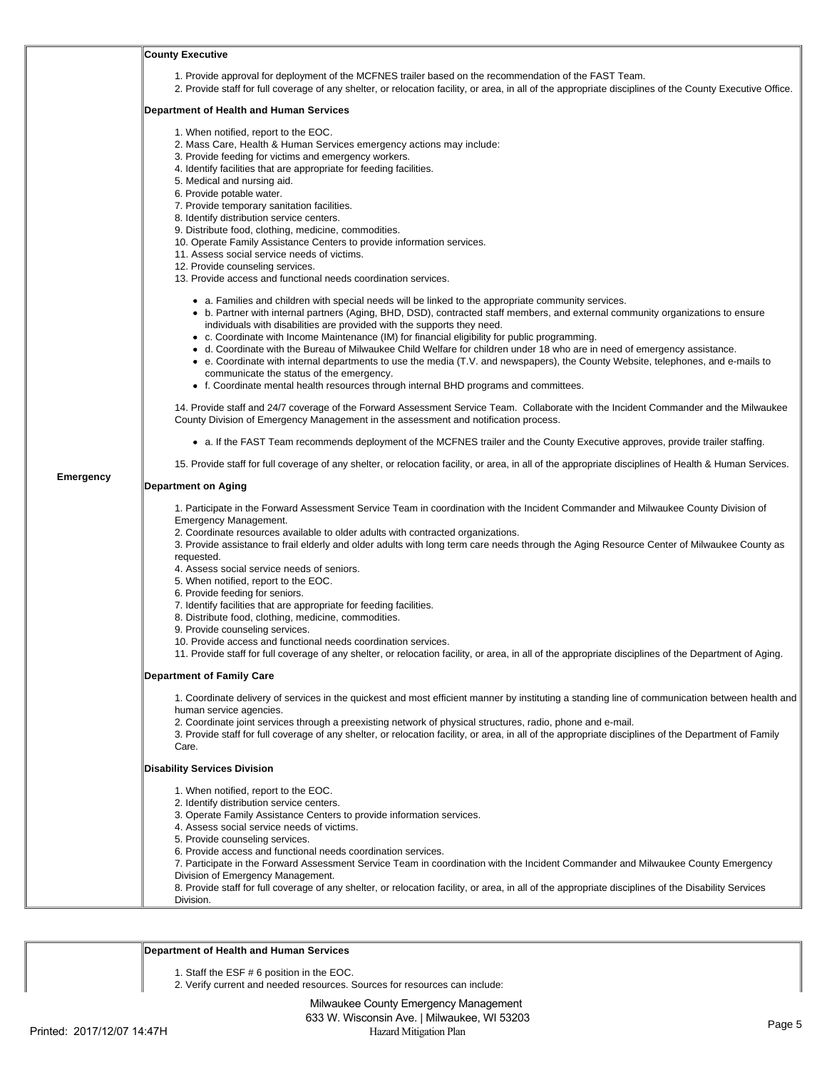|                  | <b>County Executive</b>                                                                                                                                                                                                                                                                                                                                                                                                                                                                                                                                                                                                                                                                                                                                                                                                                                                                                                                                                                                                                                                                                                                                                                                                                                                                                                                                                             |  |  |
|------------------|-------------------------------------------------------------------------------------------------------------------------------------------------------------------------------------------------------------------------------------------------------------------------------------------------------------------------------------------------------------------------------------------------------------------------------------------------------------------------------------------------------------------------------------------------------------------------------------------------------------------------------------------------------------------------------------------------------------------------------------------------------------------------------------------------------------------------------------------------------------------------------------------------------------------------------------------------------------------------------------------------------------------------------------------------------------------------------------------------------------------------------------------------------------------------------------------------------------------------------------------------------------------------------------------------------------------------------------------------------------------------------------|--|--|
|                  | 1. Provide approval for deployment of the MCFNES trailer based on the recommendation of the FAST Team.<br>2. Provide staff for full coverage of any shelter, or relocation facility, or area, in all of the appropriate disciplines of the County Executive Office.                                                                                                                                                                                                                                                                                                                                                                                                                                                                                                                                                                                                                                                                                                                                                                                                                                                                                                                                                                                                                                                                                                                 |  |  |
|                  | Department of Health and Human Services                                                                                                                                                                                                                                                                                                                                                                                                                                                                                                                                                                                                                                                                                                                                                                                                                                                                                                                                                                                                                                                                                                                                                                                                                                                                                                                                             |  |  |
|                  | 1. When notified, report to the EOC.<br>2. Mass Care, Health & Human Services emergency actions may include:<br>3. Provide feeding for victims and emergency workers.<br>4. Identify facilities that are appropriate for feeding facilities.<br>5. Medical and nursing aid.<br>6. Provide potable water.<br>7. Provide temporary sanitation facilities.<br>8. Identify distribution service centers.<br>9. Distribute food, clothing, medicine, commodities.<br>10. Operate Family Assistance Centers to provide information services.<br>11. Assess social service needs of victims.<br>12. Provide counseling services.<br>13. Provide access and functional needs coordination services.<br>• a. Families and children with special needs will be linked to the appropriate community services.<br>• b. Partner with internal partners (Aging, BHD, DSD), contracted staff members, and external community organizations to ensure<br>individuals with disabilities are provided with the supports they need.<br>• c. Coordinate with Income Maintenance (IM) for financial eligibility for public programming.<br>• d. Coordinate with the Bureau of Milwaukee Child Welfare for children under 18 who are in need of emergency assistance.<br>• e. Coordinate with internal departments to use the media (T.V. and newspapers), the County Website, telephones, and e-mails to |  |  |
|                  | communicate the status of the emergency.<br>• f. Coordinate mental health resources through internal BHD programs and committees.                                                                                                                                                                                                                                                                                                                                                                                                                                                                                                                                                                                                                                                                                                                                                                                                                                                                                                                                                                                                                                                                                                                                                                                                                                                   |  |  |
|                  | 14. Provide staff and 24/7 coverage of the Forward Assessment Service Team. Collaborate with the Incident Commander and the Milwaukee<br>County Division of Emergency Management in the assessment and notification process.                                                                                                                                                                                                                                                                                                                                                                                                                                                                                                                                                                                                                                                                                                                                                                                                                                                                                                                                                                                                                                                                                                                                                        |  |  |
|                  | • a. If the FAST Team recommends deployment of the MCFNES trailer and the County Executive approves, provide trailer staffing.                                                                                                                                                                                                                                                                                                                                                                                                                                                                                                                                                                                                                                                                                                                                                                                                                                                                                                                                                                                                                                                                                                                                                                                                                                                      |  |  |
|                  | 15. Provide staff for full coverage of any shelter, or relocation facility, or area, in all of the appropriate disciplines of Health & Human Services.                                                                                                                                                                                                                                                                                                                                                                                                                                                                                                                                                                                                                                                                                                                                                                                                                                                                                                                                                                                                                                                                                                                                                                                                                              |  |  |
| <b>Emergency</b> | <b>Department on Aging</b>                                                                                                                                                                                                                                                                                                                                                                                                                                                                                                                                                                                                                                                                                                                                                                                                                                                                                                                                                                                                                                                                                                                                                                                                                                                                                                                                                          |  |  |
|                  | 1. Participate in the Forward Assessment Service Team in coordination with the Incident Commander and Milwaukee County Division of<br>Emergency Management.<br>2. Coordinate resources available to older adults with contracted organizations.<br>3. Provide assistance to frail elderly and older adults with long term care needs through the Aging Resource Center of Milwaukee County as<br>requested.<br>4. Assess social service needs of seniors.<br>5. When notified, report to the EOC.<br>6. Provide feeding for seniors.<br>7. Identify facilities that are appropriate for feeding facilities.<br>8. Distribute food, clothing, medicine, commodities.<br>9. Provide counseling services.<br>10. Provide access and functional needs coordination services.<br>11. Provide staff for full coverage of any shelter, or relocation facility, or area, in all of the appropriate disciplines of the Department of Aging.                                                                                                                                                                                                                                                                                                                                                                                                                                                  |  |  |
|                  | <b>Department of Family Care</b>                                                                                                                                                                                                                                                                                                                                                                                                                                                                                                                                                                                                                                                                                                                                                                                                                                                                                                                                                                                                                                                                                                                                                                                                                                                                                                                                                    |  |  |
|                  | 1. Coordinate delivery of services in the quickest and most efficient manner by instituting a standing line of communication between health and<br>human service agencies.<br>2. Coordinate joint services through a preexisting network of physical structures, radio, phone and e-mail.<br>3. Provide staff for full coverage of any shelter, or relocation facility, or area, in all of the appropriate disciplines of the Department of Family<br>Care.                                                                                                                                                                                                                                                                                                                                                                                                                                                                                                                                                                                                                                                                                                                                                                                                                                                                                                                         |  |  |
|                  | <b>Disability Services Division</b>                                                                                                                                                                                                                                                                                                                                                                                                                                                                                                                                                                                                                                                                                                                                                                                                                                                                                                                                                                                                                                                                                                                                                                                                                                                                                                                                                 |  |  |
|                  | 1. When notified, report to the EOC.<br>2. Identify distribution service centers.<br>3. Operate Family Assistance Centers to provide information services.<br>4. Assess social service needs of victims.<br>5. Provide counseling services.<br>6. Provide access and functional needs coordination services.<br>7. Participate in the Forward Assessment Service Team in coordination with the Incident Commander and Milwaukee County Emergency<br>Division of Emergency Management.<br>8. Provide staff for full coverage of any shelter, or relocation facility, or area, in all of the appropriate disciplines of the Disability Services<br>Division.                                                                                                                                                                                                                                                                                                                                                                                                                                                                                                                                                                                                                                                                                                                          |  |  |

### **Department of Health and Human Services**

1. Staff the ESF # 6 position in the EOC.

2. Verify current and needed resources. Sources for resources can include: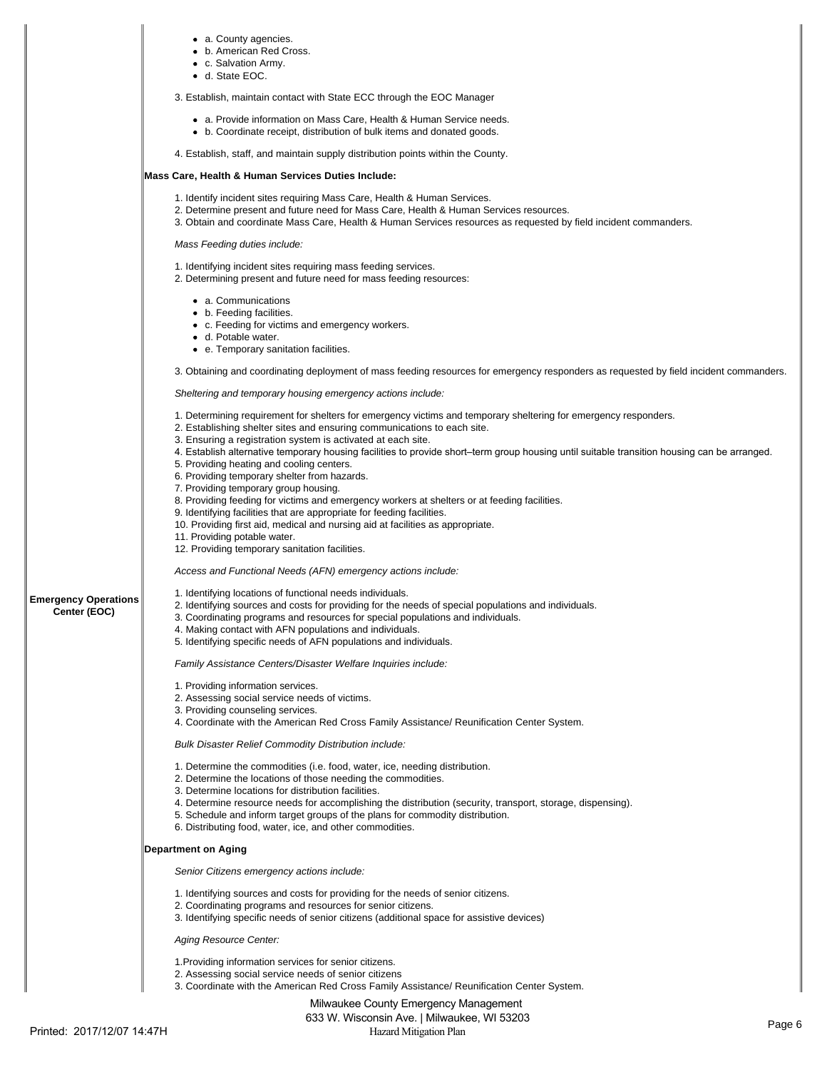|                                             | • a. County agencies.<br>• b. American Red Cross.<br>• c. Salvation Army.<br>• d. State EOC.<br>3. Establish, maintain contact with State ECC through the EOC Manager<br>• a. Provide information on Mass Care, Health & Human Service needs.<br>• b. Coordinate receipt, distribution of bulk items and donated goods.<br>4. Establish, staff, and maintain supply distribution points within the County.<br>Mass Care, Health & Human Services Duties Include:<br>1. Identify incident sites requiring Mass Care, Health & Human Services.<br>2. Determine present and future need for Mass Care, Health & Human Services resources.<br>3. Obtain and coordinate Mass Care, Health & Human Services resources as requested by field incident commanders.<br>Mass Feeding duties include:<br>1. Identifying incident sites requiring mass feeding services.<br>2. Determining present and future need for mass feeding resources:<br>• a. Communications<br>• b. Feeding facilities.<br>• c. Feeding for victims and emergency workers.<br>• d. Potable water.<br>• e. Temporary sanitation facilities.<br>3. Obtaining and coordinating deployment of mass feeding resources for emergency responders as requested by field incident commanders.<br>Sheltering and temporary housing emergency actions include:<br>1. Determining requirement for shelters for emergency victims and temporary sheltering for emergency responders.<br>2. Establishing shelter sites and ensuring communications to each site.<br>3. Ensuring a registration system is activated at each site.<br>4. Establish alternative temporary housing facilities to provide short–term group housing until suitable transition housing can be arranged. |
|---------------------------------------------|----------------------------------------------------------------------------------------------------------------------------------------------------------------------------------------------------------------------------------------------------------------------------------------------------------------------------------------------------------------------------------------------------------------------------------------------------------------------------------------------------------------------------------------------------------------------------------------------------------------------------------------------------------------------------------------------------------------------------------------------------------------------------------------------------------------------------------------------------------------------------------------------------------------------------------------------------------------------------------------------------------------------------------------------------------------------------------------------------------------------------------------------------------------------------------------------------------------------------------------------------------------------------------------------------------------------------------------------------------------------------------------------------------------------------------------------------------------------------------------------------------------------------------------------------------------------------------------------------------------------------------------------------------------------------------------------------------------------------------|
|                                             |                                                                                                                                                                                                                                                                                                                                                                                                                                                                                                                                                                                                                                                                                                                                                                                                                                                                                                                                                                                                                                                                                                                                                                                                                                                                                                                                                                                                                                                                                                                                                                                                                                                                                                                                  |
|                                             |                                                                                                                                                                                                                                                                                                                                                                                                                                                                                                                                                                                                                                                                                                                                                                                                                                                                                                                                                                                                                                                                                                                                                                                                                                                                                                                                                                                                                                                                                                                                                                                                                                                                                                                                  |
|                                             |                                                                                                                                                                                                                                                                                                                                                                                                                                                                                                                                                                                                                                                                                                                                                                                                                                                                                                                                                                                                                                                                                                                                                                                                                                                                                                                                                                                                                                                                                                                                                                                                                                                                                                                                  |
|                                             |                                                                                                                                                                                                                                                                                                                                                                                                                                                                                                                                                                                                                                                                                                                                                                                                                                                                                                                                                                                                                                                                                                                                                                                                                                                                                                                                                                                                                                                                                                                                                                                                                                                                                                                                  |
|                                             |                                                                                                                                                                                                                                                                                                                                                                                                                                                                                                                                                                                                                                                                                                                                                                                                                                                                                                                                                                                                                                                                                                                                                                                                                                                                                                                                                                                                                                                                                                                                                                                                                                                                                                                                  |
|                                             |                                                                                                                                                                                                                                                                                                                                                                                                                                                                                                                                                                                                                                                                                                                                                                                                                                                                                                                                                                                                                                                                                                                                                                                                                                                                                                                                                                                                                                                                                                                                                                                                                                                                                                                                  |
|                                             |                                                                                                                                                                                                                                                                                                                                                                                                                                                                                                                                                                                                                                                                                                                                                                                                                                                                                                                                                                                                                                                                                                                                                                                                                                                                                                                                                                                                                                                                                                                                                                                                                                                                                                                                  |
|                                             |                                                                                                                                                                                                                                                                                                                                                                                                                                                                                                                                                                                                                                                                                                                                                                                                                                                                                                                                                                                                                                                                                                                                                                                                                                                                                                                                                                                                                                                                                                                                                                                                                                                                                                                                  |
|                                             | 5. Providing heating and cooling centers.<br>6. Providing temporary shelter from hazards.<br>7. Providing temporary group housing.                                                                                                                                                                                                                                                                                                                                                                                                                                                                                                                                                                                                                                                                                                                                                                                                                                                                                                                                                                                                                                                                                                                                                                                                                                                                                                                                                                                                                                                                                                                                                                                               |
|                                             | 8. Providing feeding for victims and emergency workers at shelters or at feeding facilities.<br>9. Identifying facilities that are appropriate for feeding facilities.<br>10. Providing first aid, medical and nursing aid at facilities as appropriate.<br>11. Providing potable water.<br>12. Providing temporary sanitation facilities.                                                                                                                                                                                                                                                                                                                                                                                                                                                                                                                                                                                                                                                                                                                                                                                                                                                                                                                                                                                                                                                                                                                                                                                                                                                                                                                                                                                       |
|                                             | Access and Functional Needs (AFN) emergency actions include:                                                                                                                                                                                                                                                                                                                                                                                                                                                                                                                                                                                                                                                                                                                                                                                                                                                                                                                                                                                                                                                                                                                                                                                                                                                                                                                                                                                                                                                                                                                                                                                                                                                                     |
| <b>Emergency Operations</b><br>Center (EOC) | 1. Identifying locations of functional needs individuals.<br>2. Identifying sources and costs for providing for the needs of special populations and individuals.<br>3. Coordinating programs and resources for special populations and individuals.<br>4. Making contact with AFN populations and individuals.<br>5. Identifying specific needs of AFN populations and individuals.                                                                                                                                                                                                                                                                                                                                                                                                                                                                                                                                                                                                                                                                                                                                                                                                                                                                                                                                                                                                                                                                                                                                                                                                                                                                                                                                             |
|                                             | Family Assistance Centers/Disaster Welfare Inquiries include:                                                                                                                                                                                                                                                                                                                                                                                                                                                                                                                                                                                                                                                                                                                                                                                                                                                                                                                                                                                                                                                                                                                                                                                                                                                                                                                                                                                                                                                                                                                                                                                                                                                                    |
|                                             | 1. Providing information services.<br>2. Assessing social service needs of victims.<br>3. Providing counseling services.<br>4. Coordinate with the American Red Cross Family Assistance/ Reunification Center System.                                                                                                                                                                                                                                                                                                                                                                                                                                                                                                                                                                                                                                                                                                                                                                                                                                                                                                                                                                                                                                                                                                                                                                                                                                                                                                                                                                                                                                                                                                            |
|                                             | <b>Bulk Disaster Relief Commodity Distribution include:</b>                                                                                                                                                                                                                                                                                                                                                                                                                                                                                                                                                                                                                                                                                                                                                                                                                                                                                                                                                                                                                                                                                                                                                                                                                                                                                                                                                                                                                                                                                                                                                                                                                                                                      |
|                                             | 1. Determine the commodities (i.e. food, water, ice, needing distribution.<br>2. Determine the locations of those needing the commodities.<br>3. Determine locations for distribution facilities.<br>4. Determine resource needs for accomplishing the distribution (security, transport, storage, dispensing).<br>5. Schedule and inform target groups of the plans for commodity distribution.<br>6. Distributing food, water, ice, and other commodities.                                                                                                                                                                                                                                                                                                                                                                                                                                                                                                                                                                                                                                                                                                                                                                                                                                                                                                                                                                                                                                                                                                                                                                                                                                                                     |
|                                             | <b>Department on Aging</b>                                                                                                                                                                                                                                                                                                                                                                                                                                                                                                                                                                                                                                                                                                                                                                                                                                                                                                                                                                                                                                                                                                                                                                                                                                                                                                                                                                                                                                                                                                                                                                                                                                                                                                       |
|                                             | Senior Citizens emergency actions include:                                                                                                                                                                                                                                                                                                                                                                                                                                                                                                                                                                                                                                                                                                                                                                                                                                                                                                                                                                                                                                                                                                                                                                                                                                                                                                                                                                                                                                                                                                                                                                                                                                                                                       |
|                                             | 1. Identifying sources and costs for providing for the needs of senior citizens.<br>2. Coordinating programs and resources for senior citizens.<br>3. Identifying specific needs of senior citizens (additional space for assistive devices)                                                                                                                                                                                                                                                                                                                                                                                                                                                                                                                                                                                                                                                                                                                                                                                                                                                                                                                                                                                                                                                                                                                                                                                                                                                                                                                                                                                                                                                                                     |
|                                             | Aging Resource Center:                                                                                                                                                                                                                                                                                                                                                                                                                                                                                                                                                                                                                                                                                                                                                                                                                                                                                                                                                                                                                                                                                                                                                                                                                                                                                                                                                                                                                                                                                                                                                                                                                                                                                                           |
|                                             | 1. Providing information services for senior citizens.<br>2. Assessing social service needs of senior citizens<br>3. Coordinate with the American Red Cross Family Assistance/ Reunification Center System.                                                                                                                                                                                                                                                                                                                                                                                                                                                                                                                                                                                                                                                                                                                                                                                                                                                                                                                                                                                                                                                                                                                                                                                                                                                                                                                                                                                                                                                                                                                      |
|                                             | Milwaukee County Emergency Menagement                                                                                                                                                                                                                                                                                                                                                                                                                                                                                                                                                                                                                                                                                                                                                                                                                                                                                                                                                                                                                                                                                                                                                                                                                                                                                                                                                                                                                                                                                                                                                                                                                                                                                            |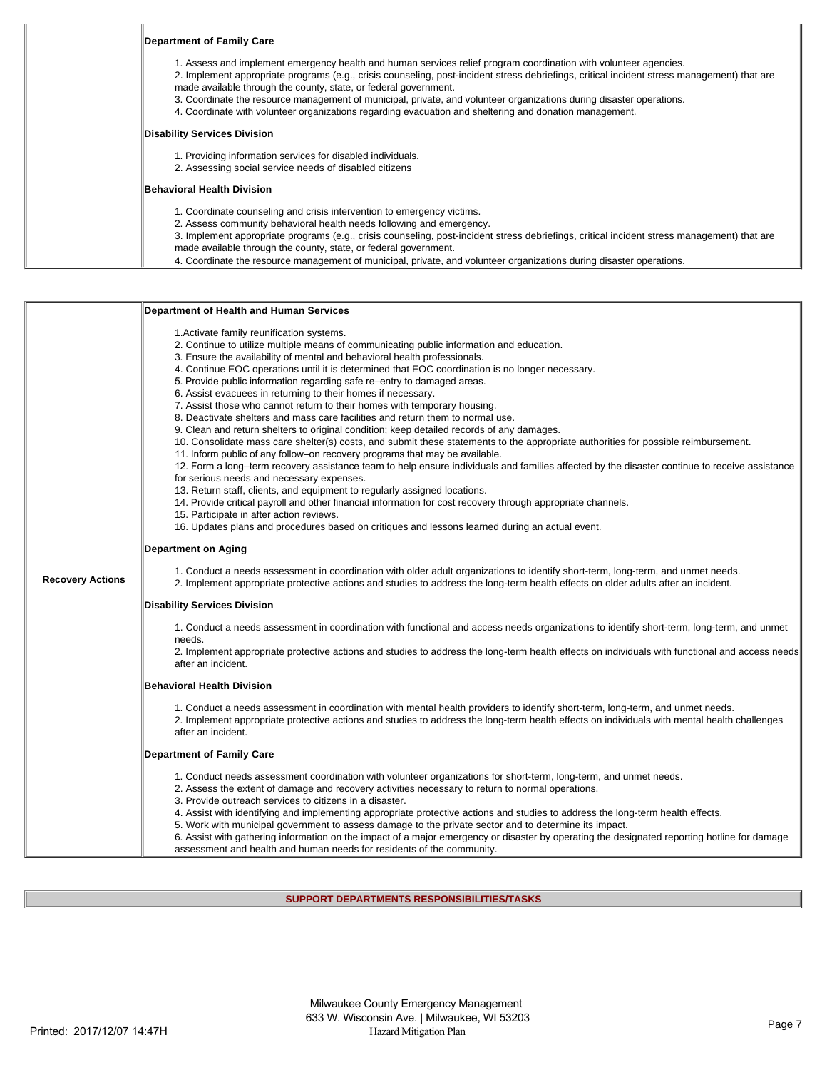| Department of Family Care                                                                                                                                                                                                                                                                                                                                                                                                                                                                                                                                              |
|------------------------------------------------------------------------------------------------------------------------------------------------------------------------------------------------------------------------------------------------------------------------------------------------------------------------------------------------------------------------------------------------------------------------------------------------------------------------------------------------------------------------------------------------------------------------|
| 1. Assess and implement emergency health and human services relief program coordination with volunteer agencies.<br>2. Implement appropriate programs (e.g., crisis counseling, post-incident stress debriefings, critical incident stress management) that are<br>made available through the county, state, or federal government.<br>3. Coordinate the resource management of municipal, private, and volunteer organizations during disaster operations.<br>4. Coordinate with volunteer organizations regarding evacuation and sheltering and donation management. |
| Disability Services Division                                                                                                                                                                                                                                                                                                                                                                                                                                                                                                                                           |
| 1. Providing information services for disabled individuals.<br>2. Assessing social service needs of disabled citizens                                                                                                                                                                                                                                                                                                                                                                                                                                                  |
| Behavioral Health Division                                                                                                                                                                                                                                                                                                                                                                                                                                                                                                                                             |
| 1. Coordinate counseling and crisis intervention to emergency victims.<br>2. Assess community behavioral health needs following and emergency.<br>3. Implement appropriate programs (e.g., crisis counseling, post-incident stress debriefings, critical incident stress management) that are<br>made available through the county, state, or federal government.                                                                                                                                                                                                      |
| 4. Coordinate the resource management of municipal, private, and volunteer organizations during disaster operations.                                                                                                                                                                                                                                                                                                                                                                                                                                                   |

|                         | Department of Health and Human Services                                                                                                                                                                                                                                                                                                                                                                                                                                                                                                                                                                                                                                                                                                                                                                                                                                                                                                                                                                                                                                                                                                                                                                                                                                                                                                                                                                                                                                                    |
|-------------------------|--------------------------------------------------------------------------------------------------------------------------------------------------------------------------------------------------------------------------------------------------------------------------------------------------------------------------------------------------------------------------------------------------------------------------------------------------------------------------------------------------------------------------------------------------------------------------------------------------------------------------------------------------------------------------------------------------------------------------------------------------------------------------------------------------------------------------------------------------------------------------------------------------------------------------------------------------------------------------------------------------------------------------------------------------------------------------------------------------------------------------------------------------------------------------------------------------------------------------------------------------------------------------------------------------------------------------------------------------------------------------------------------------------------------------------------------------------------------------------------------|
|                         | 1. Activate family reunification systems.<br>2. Continue to utilize multiple means of communicating public information and education.<br>3. Ensure the availability of mental and behavioral health professionals.<br>4. Continue EOC operations until it is determined that EOC coordination is no longer necessary.<br>5. Provide public information regarding safe re-entry to damaged areas.<br>6. Assist evacuees in returning to their homes if necessary.<br>7. Assist those who cannot return to their homes with temporary housing.<br>8. Deactivate shelters and mass care facilities and return them to normal use.<br>9. Clean and return shelters to original condition; keep detailed records of any damages.<br>10. Consolidate mass care shelter(s) costs, and submit these statements to the appropriate authorities for possible reimbursement.<br>11. Inform public of any follow-on recovery programs that may be available.<br>12. Form a long-term recovery assistance team to help ensure individuals and families affected by the disaster continue to receive assistance<br>for serious needs and necessary expenses.<br>13. Return staff, clients, and equipment to regularly assigned locations.<br>14. Provide critical payroll and other financial information for cost recovery through appropriate channels.<br>15. Participate in after action reviews.<br>16. Updates plans and procedures based on critiques and lessons learned during an actual event. |
|                         | <b>Department on Aging</b>                                                                                                                                                                                                                                                                                                                                                                                                                                                                                                                                                                                                                                                                                                                                                                                                                                                                                                                                                                                                                                                                                                                                                                                                                                                                                                                                                                                                                                                                 |
| <b>Recovery Actions</b> | 1. Conduct a needs assessment in coordination with older adult organizations to identify short-term, long-term, and unmet needs.<br>2. Implement appropriate protective actions and studies to address the long-term health effects on older adults after an incident.                                                                                                                                                                                                                                                                                                                                                                                                                                                                                                                                                                                                                                                                                                                                                                                                                                                                                                                                                                                                                                                                                                                                                                                                                     |
|                         | <b>Disability Services Division</b>                                                                                                                                                                                                                                                                                                                                                                                                                                                                                                                                                                                                                                                                                                                                                                                                                                                                                                                                                                                                                                                                                                                                                                                                                                                                                                                                                                                                                                                        |
|                         | 1. Conduct a needs assessment in coordination with functional and access needs organizations to identify short-term, long-term, and unmet<br>needs.<br>2. Implement appropriate protective actions and studies to address the long-term health effects on individuals with functional and access needs<br>after an incident.                                                                                                                                                                                                                                                                                                                                                                                                                                                                                                                                                                                                                                                                                                                                                                                                                                                                                                                                                                                                                                                                                                                                                               |
|                         | Behavioral Health Division                                                                                                                                                                                                                                                                                                                                                                                                                                                                                                                                                                                                                                                                                                                                                                                                                                                                                                                                                                                                                                                                                                                                                                                                                                                                                                                                                                                                                                                                 |
|                         | 1. Conduct a needs assessment in coordination with mental health providers to identify short-term, long-term, and unmet needs.<br>2. Implement appropriate protective actions and studies to address the long-term health effects on individuals with mental health challenges<br>after an incident.                                                                                                                                                                                                                                                                                                                                                                                                                                                                                                                                                                                                                                                                                                                                                                                                                                                                                                                                                                                                                                                                                                                                                                                       |
|                         | <b>Department of Family Care</b>                                                                                                                                                                                                                                                                                                                                                                                                                                                                                                                                                                                                                                                                                                                                                                                                                                                                                                                                                                                                                                                                                                                                                                                                                                                                                                                                                                                                                                                           |
|                         | 1. Conduct needs assessment coordination with volunteer organizations for short-term, long-term, and unmet needs.<br>2. Assess the extent of damage and recovery activities necessary to return to normal operations.<br>3. Provide outreach services to citizens in a disaster.<br>4. Assist with identifying and implementing appropriate protective actions and studies to address the long-term health effects.<br>5. Work with municipal government to assess damage to the private sector and to determine its impact.<br>6. Assist with gathering information on the impact of a major emergency or disaster by operating the designated reporting hotline for damage<br>assessment and health and human needs for residents of the community.                                                                                                                                                                                                                                                                                                                                                                                                                                                                                                                                                                                                                                                                                                                                      |

# **SUPPORT DEPARTMENTS RESPONSIBILITIES/TASKS**

1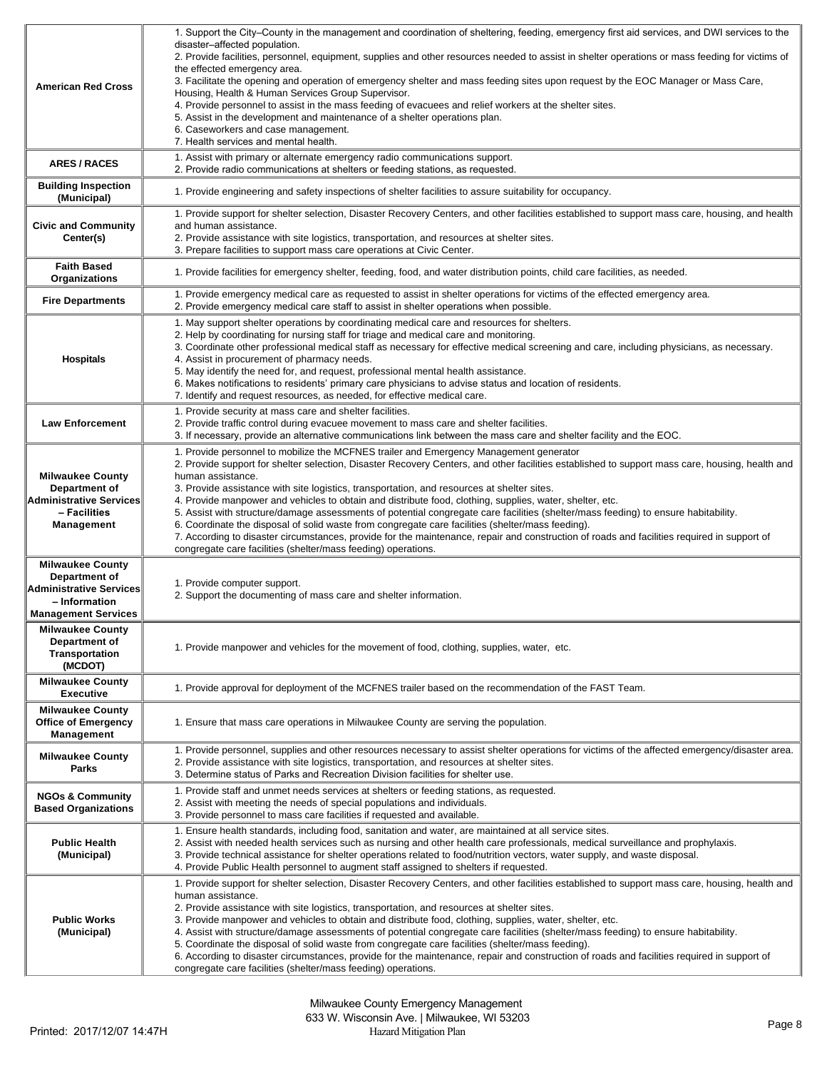| <b>American Red Cross</b>                                                                                                 | 1. Support the City–County in the management and coordination of sheltering, feeding, emergency first aid services, and DWI services to the<br>disaster-affected population.<br>2. Provide facilities, personnel, equipment, supplies and other resources needed to assist in shelter operations or mass feeding for victims of<br>the effected emergency area.<br>3. Facilitate the opening and operation of emergency shelter and mass feeding sites upon request by the EOC Manager or Mass Care,<br>Housing, Health & Human Services Group Supervisor.<br>4. Provide personnel to assist in the mass feeding of evacuees and relief workers at the shelter sites.<br>5. Assist in the development and maintenance of a shelter operations plan.<br>6. Caseworkers and case management.<br>7. Health services and mental health.                                                                                                 |
|---------------------------------------------------------------------------------------------------------------------------|-------------------------------------------------------------------------------------------------------------------------------------------------------------------------------------------------------------------------------------------------------------------------------------------------------------------------------------------------------------------------------------------------------------------------------------------------------------------------------------------------------------------------------------------------------------------------------------------------------------------------------------------------------------------------------------------------------------------------------------------------------------------------------------------------------------------------------------------------------------------------------------------------------------------------------------|
| <b>ARES/RACES</b>                                                                                                         | 1. Assist with primary or alternate emergency radio communications support.<br>2. Provide radio communications at shelters or feeding stations, as requested.                                                                                                                                                                                                                                                                                                                                                                                                                                                                                                                                                                                                                                                                                                                                                                       |
| <b>Building Inspection</b><br>(Municipal)                                                                                 | 1. Provide engineering and safety inspections of shelter facilities to assure suitability for occupancy.                                                                                                                                                                                                                                                                                                                                                                                                                                                                                                                                                                                                                                                                                                                                                                                                                            |
| <b>Civic and Community</b><br>Center(s)                                                                                   | 1. Provide support for shelter selection, Disaster Recovery Centers, and other facilities established to support mass care, housing, and health<br>and human assistance.<br>2. Provide assistance with site logistics, transportation, and resources at shelter sites.<br>3. Prepare facilities to support mass care operations at Civic Center.                                                                                                                                                                                                                                                                                                                                                                                                                                                                                                                                                                                    |
| <b>Faith Based</b><br>Organizations                                                                                       | 1. Provide facilities for emergency shelter, feeding, food, and water distribution points, child care facilities, as needed.                                                                                                                                                                                                                                                                                                                                                                                                                                                                                                                                                                                                                                                                                                                                                                                                        |
| <b>Fire Departments</b>                                                                                                   | 1. Provide emergency medical care as requested to assist in shelter operations for victims of the effected emergency area.<br>2. Provide emergency medical care staff to assist in shelter operations when possible.                                                                                                                                                                                                                                                                                                                                                                                                                                                                                                                                                                                                                                                                                                                |
| <b>Hospitals</b>                                                                                                          | 1. May support shelter operations by coordinating medical care and resources for shelters.<br>2. Help by coordinating for nursing staff for triage and medical care and monitoring.<br>3. Coordinate other professional medical staff as necessary for effective medical screening and care, including physicians, as necessary.<br>4. Assist in procurement of pharmacy needs.<br>5. May identify the need for, and request, professional mental health assistance.<br>6. Makes notifications to residents' primary care physicians to advise status and location of residents.<br>7. Identify and request resources, as needed, for effective medical care.                                                                                                                                                                                                                                                                       |
| <b>Law Enforcement</b>                                                                                                    | 1. Provide security at mass care and shelter facilities.<br>2. Provide traffic control during evacuee movement to mass care and shelter facilities.<br>3. If necessary, provide an alternative communications link between the mass care and shelter facility and the EOC.                                                                                                                                                                                                                                                                                                                                                                                                                                                                                                                                                                                                                                                          |
| <b>Milwaukee County</b><br>Department of<br><b>Administrative Services</b><br>- Facilities<br>Management                  | 1. Provide personnel to mobilize the MCFNES trailer and Emergency Management generator<br>2. Provide support for shelter selection, Disaster Recovery Centers, and other facilities established to support mass care, housing, health and<br>human assistance.<br>3. Provide assistance with site logistics, transportation, and resources at shelter sites.<br>4. Provide manpower and vehicles to obtain and distribute food, clothing, supplies, water, shelter, etc.<br>5. Assist with structure/damage assessments of potential congregate care facilities (shelter/mass feeding) to ensure habitability.<br>6. Coordinate the disposal of solid waste from congregate care facilities (shelter/mass feeding).<br>7. According to disaster circumstances, provide for the maintenance, repair and construction of roads and facilities required in support of<br>congregate care facilities (shelter/mass feeding) operations. |
| <b>Milwaukee County</b><br>Department of<br><b>Administrative Services</b><br>- Information<br><b>Management Services</b> | 1. Provide computer support.<br>2. Support the documenting of mass care and shelter information.                                                                                                                                                                                                                                                                                                                                                                                                                                                                                                                                                                                                                                                                                                                                                                                                                                    |
| <b>Milwaukee County</b><br>Department of<br>Transportation<br>(MCDOT)                                                     | 1. Provide manpower and vehicles for the movement of food, clothing, supplies, water, etc.                                                                                                                                                                                                                                                                                                                                                                                                                                                                                                                                                                                                                                                                                                                                                                                                                                          |
| <b>Milwaukee County</b><br><b>Executive</b>                                                                               | 1. Provide approval for deployment of the MCFNES trailer based on the recommendation of the FAST Team.                                                                                                                                                                                                                                                                                                                                                                                                                                                                                                                                                                                                                                                                                                                                                                                                                              |
| <b>Milwaukee County</b><br><b>Office of Emergency</b><br>Management                                                       | 1. Ensure that mass care operations in Milwaukee County are serving the population.                                                                                                                                                                                                                                                                                                                                                                                                                                                                                                                                                                                                                                                                                                                                                                                                                                                 |
| <b>Milwaukee County</b><br>Parks                                                                                          | 1. Provide personnel, supplies and other resources necessary to assist shelter operations for victims of the affected emergency/disaster area.<br>2. Provide assistance with site logistics, transportation, and resources at shelter sites.<br>3. Determine status of Parks and Recreation Division facilities for shelter use.                                                                                                                                                                                                                                                                                                                                                                                                                                                                                                                                                                                                    |
| <b>NGOs &amp; Community</b><br><b>Based Organizations</b>                                                                 | 1. Provide staff and unmet needs services at shelters or feeding stations, as requested.<br>2. Assist with meeting the needs of special populations and individuals.<br>3. Provide personnel to mass care facilities if requested and available.                                                                                                                                                                                                                                                                                                                                                                                                                                                                                                                                                                                                                                                                                    |
| <b>Public Health</b><br>(Municipal)                                                                                       | 1. Ensure health standards, including food, sanitation and water, are maintained at all service sites.<br>2. Assist with needed health services such as nursing and other health care professionals, medical surveillance and prophylaxis.<br>3. Provide technical assistance for shelter operations related to food/nutrition vectors, water supply, and waste disposal.<br>4. Provide Public Health personnel to augment staff assigned to shelters if requested.                                                                                                                                                                                                                                                                                                                                                                                                                                                                 |
| <b>Public Works</b><br>(Municipal)                                                                                        | 1. Provide support for shelter selection, Disaster Recovery Centers, and other facilities established to support mass care, housing, health and<br>human assistance.<br>2. Provide assistance with site logistics, transportation, and resources at shelter sites.<br>3. Provide manpower and vehicles to obtain and distribute food, clothing, supplies, water, shelter, etc.<br>4. Assist with structure/damage assessments of potential congregate care facilities (shelter/mass feeding) to ensure habitability.<br>5. Coordinate the disposal of solid waste from congregate care facilities (shelter/mass feeding).<br>6. According to disaster circumstances, provide for the maintenance, repair and construction of roads and facilities required in support of<br>congregate care facilities (shelter/mass feeding) operations.                                                                                           |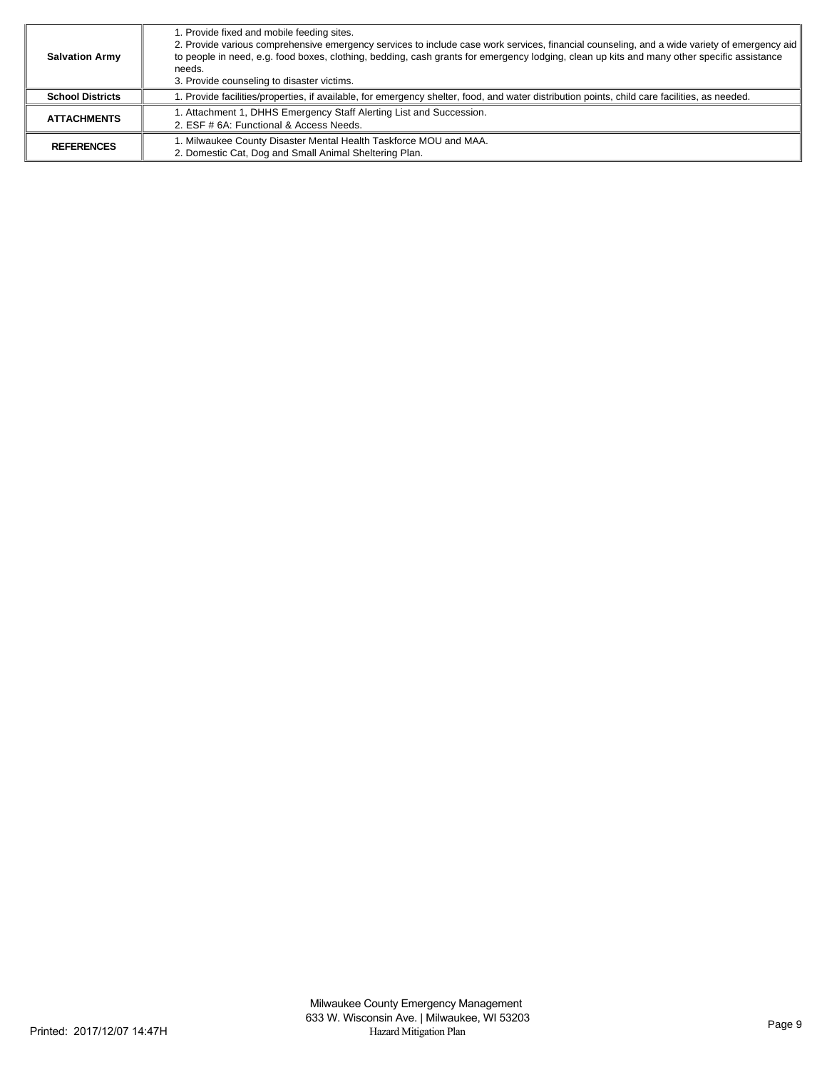| <b>Salvation Army</b>   | 1. Provide fixed and mobile feeding sites.<br>2. Provide various comprehensive emergency services to include case work services, financial counseling, and a wide variety of emergency aid<br>to people in need, e.g. food boxes, clothing, bedding, cash grants for emergency lodging, clean up kits and many other specific assistance<br>needs.<br>3. Provide counseling to disaster victims. |
|-------------------------|--------------------------------------------------------------------------------------------------------------------------------------------------------------------------------------------------------------------------------------------------------------------------------------------------------------------------------------------------------------------------------------------------|
| <b>School Districts</b> | 1. Provide facilities/properties, if available, for emergency shelter, food, and water distribution points, child care facilities, as needed.                                                                                                                                                                                                                                                    |
| <b>ATTACHMENTS</b>      | I. Attachment 1, DHHS Emergency Staff Alerting List and Succession.<br>2. ESF # 6A: Functional & Access Needs.                                                                                                                                                                                                                                                                                   |
| <b>REFERENCES</b>       | 1. Milwaukee County Disaster Mental Health Taskforce MOU and MAA.<br>2. Domestic Cat, Dog and Small Animal Sheltering Plan.                                                                                                                                                                                                                                                                      |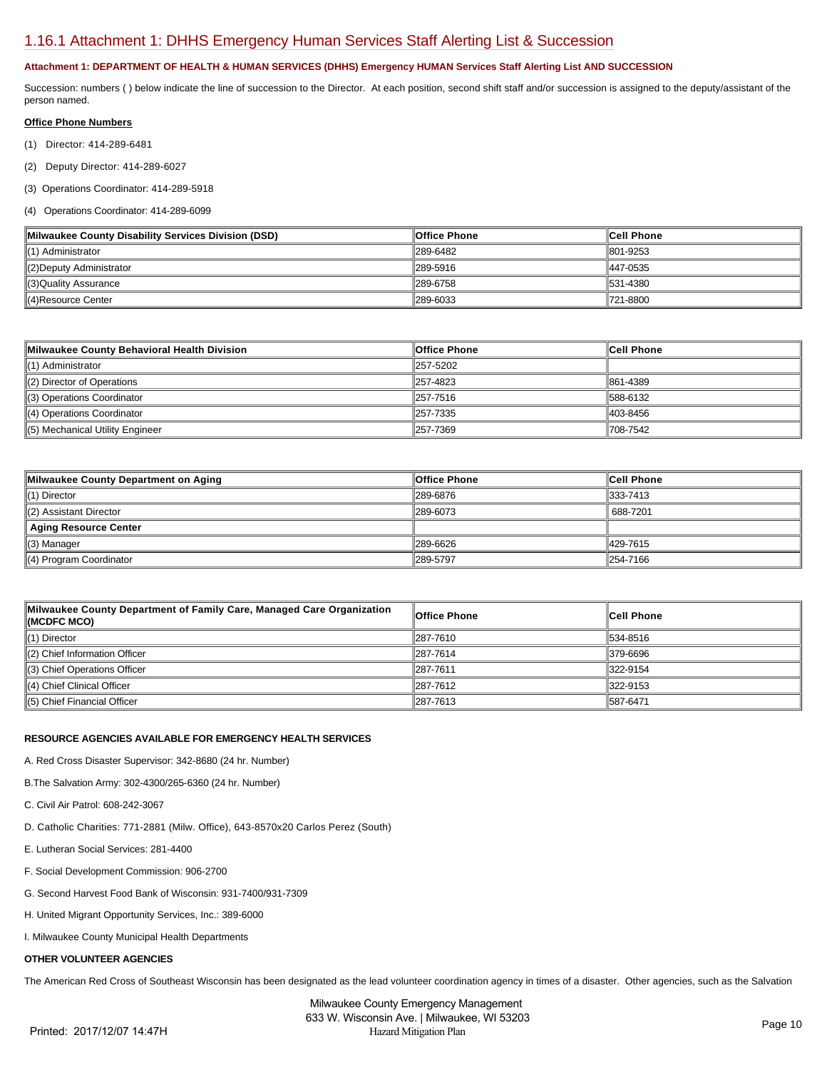## [1.16.1 Attachment 1: DHHS Emergency Human Services Staff Alerting List & Succession](https://milwaukeecounty.isc-cemp.com/Cemp/Details?id=5810521)

### **Attachment 1: DEPARTMENT OF HEALTH & HUMAN SERVICES (DHHS) Emergency HUMAN Services Staff Alerting List AND SUCCESSION**

Succession: numbers () below indicate the line of succession to the Director. At each position, second shift staff and/or succession is assigned to the deputy/assistant of the person named.

### **Office Phone Numbers**

- (1) Director: 414-289-6481
- (2) Deputy Director: 414-289-6027

(3) Operations Coordinator: 414-289-5918

### (4) Operations Coordinator: 414-289-6099

| Milwaukee County Disability Services Division (DSD) | Office Phone | <b>Cell Phone</b> |
|-----------------------------------------------------|--------------|-------------------|
| (1) Administrator                                   | 289-6482     | 1801-9253         |
| (2) Deputy Administrator                            | 289-5916     | 447-0535          |
| (3)Quality Assurance                                | 289-6758     | 1531-4380         |
| 4)Resource Center                                   | 289-6033     | 1721-8800         |

| Milwaukee County Behavioral Health Division | ∥Office Phone | ∥Cell Phone |
|---------------------------------------------|---------------|-------------|
| (1) Administrator                           | 257-5202      |             |
| $(2)$ Director of Operations                | 1257-4823     | 861-4389    |
| (3) Operations Coordinator                  | 257-7516      | 588-6132    |
| (4) Operations Coordinator                  | 1257-7335     | 403-8456    |
| (5) Mechanical Utility Engineer             | 1257-7369     | 708-7542    |

| Milwaukee County Department on Aging | ∣Office Phone | <b>Cell Phone</b>    |
|--------------------------------------|---------------|----------------------|
| $\parallel$ (1) Director             | 1289-6876     | $\parallel$ 333-7413 |
| (2) Assistant Director               | 289-6073      | 688-7201             |
| Aging Resource Center                |               |                      |
| (3) Manager                          | 289-6626      | 429-7615             |
| (4) Program Coordinator              | 289-5797      | 1254-7166            |

| Milwaukee County Department of Family Care, Managed Care Organization<br>KMCDFC MCO) | ∥Office Phone | <b>Cell Phone</b> |
|--------------------------------------------------------------------------------------|---------------|-------------------|
| $\parallel$ (1) Director                                                             | 1287-7610     | 1534-8516         |
| $\parallel$ (2) Chief Information Officer                                            | 1287-7614     | 379-6696          |
| (3) Chief Operations Officer                                                         | 1287-7611     | 322-9154          |
| $\parallel$ (4) Chief Clinical Officer                                               | 1287-7612     | 322-9153          |
| $\parallel$ (5) Chief Financial Officer                                              | 1287-7613     | 1587-6471         |

### **RESOURCE AGENCIES AVAILABLE FOR EMERGENCY HEALTH SERVICES**

A. Red Cross Disaster Supervisor: 342-8680 (24 hr. Number)

B.The Salvation Army: 302-4300/265-6360 (24 hr. Number)

- C. Civil Air Patrol: 608-242-3067
- D. Catholic Charities: 771-2881 (Milw. Office), 643-8570x20 Carlos Perez (South)
- E. Lutheran Social Services: 281-4400
- F. Social Development Commission: 906-2700
- G. Second Harvest Food Bank of Wisconsin: 931-7400/931-7309
- H. United Migrant Opportunity Services, Inc.: 389-6000
- I. Milwaukee County Municipal Health Departments

### **OTHER VOLUNTEER AGENCIES**

The American Red Cross of Southeast Wisconsin has been designated as the lead volunteer coordination agency in times of a disaster. Other agencies, such as the Salvation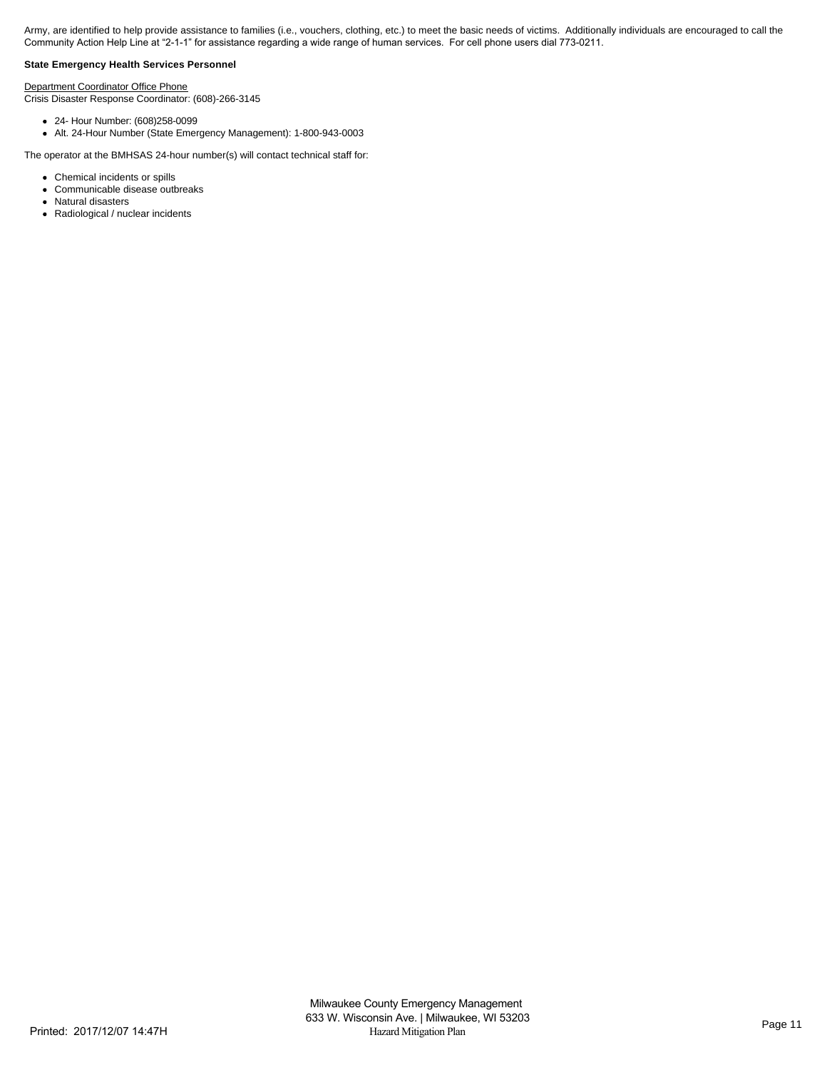Army, are identified to help provide assistance to families (i.e., vouchers, clothing, etc.) to meet the basic needs of victims. Additionally individuals are encouraged to call the Community Action Help Line at "2-1-1" for assistance regarding a wide range of human services. For cell phone users dial 773-0211.

### **State Emergency Health Services Personnel**

Department Coordinator Office Phone

Crisis Disaster Response Coordinator: (608)-266-3145

- 24- Hour Number: (608)258-0099
- Alt. 24-Hour Number (State Emergency Management): 1-800-943-0003

The operator at the BMHSAS 24-hour number(s) will contact technical staff for:

- Chemical incidents or spills
- Communicable disease outbreaks  $\bullet$
- $\bullet$ Natural disasters
- Radiological / nuclear incidents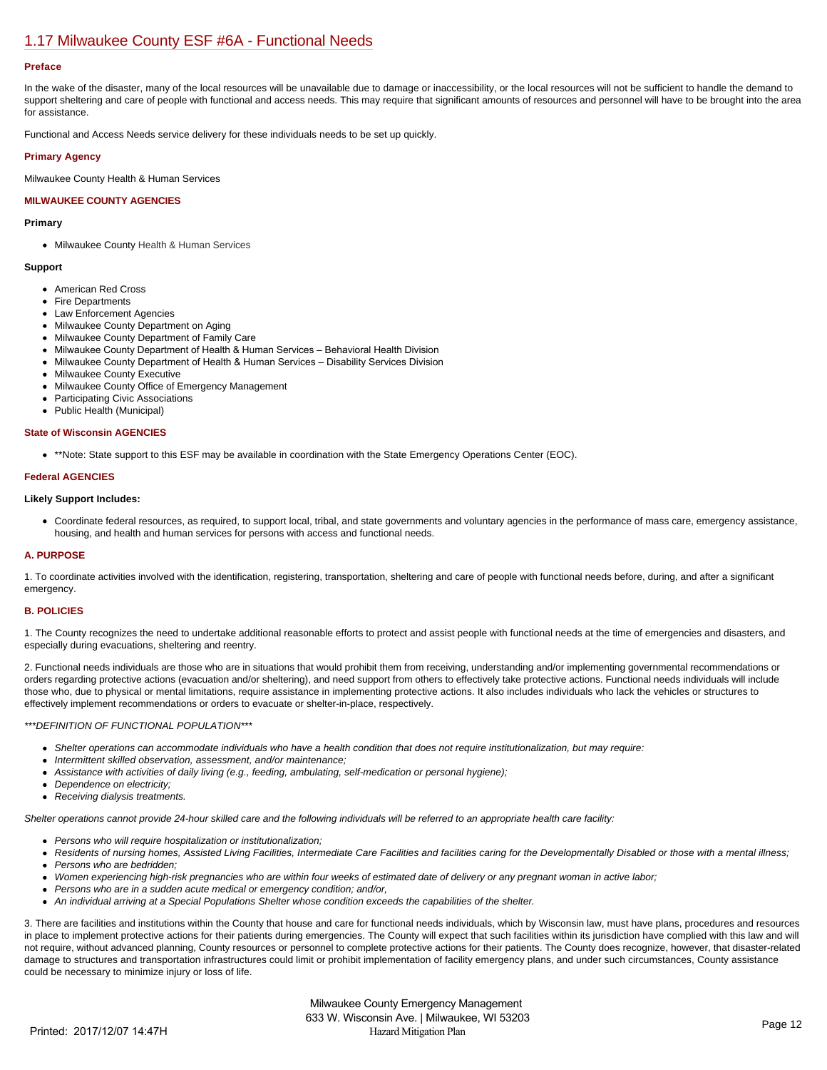## [1.17 Milwaukee County ESF #6A - Functional Needs](https://milwaukeecounty.isc-cemp.com/Cemp/Details?id=5805895)

### **Preface**

In the wake of the disaster, many of the local resources will be unavailable due to damage or inaccessibility, or the local resources will not be sufficient to handle the demand to support sheltering and care of people with functional and access needs. This may require that significant amounts of resources and personnel will have to be brought into the area for assistance.

Functional and Access Needs service delivery for these individuals needs to be set up quickly.

### **Primary Agency**

Milwaukee County Health & Human Services

### **MILWAUKEE COUNTY AGENCIES**

### **Primary**

Milwaukee County Health & Human Services

#### **Support**

- American Red Cross
- Fire Departments
- Law Enforcement Agencies
- Milwaukee County Department on Aging
- Milwaukee County Department of Family Care Milwaukee County Department of Health & Human Services – Behavioral Health Division
- Milwaukee County Department of Health & Human Services Disability Services Division
- Milwaukee County Executive
- Milwaukee County Office of Emergency Management
- Participating Civic Associations
- Public Health (Municipal)

#### **State of Wisconsin AGENCIES**

\*\*Note: State support to this ESF may be available in coordination with the State Emergency Operations Center (EOC).

### **Federal AGENCIES**

#### **Likely Support Includes:**

Coordinate federal resources, as required, to support local, tribal, and state governments and voluntary agencies in the performance of mass care, emergency assistance, housing, and health and human services for persons with access and functional needs.

#### **A. PURPOSE**

1. To coordinate activities involved with the identification, registering, transportation, sheltering and care of people with functional needs before, during, and after a significant emergency.

### **B. POLICIES**

1. The County recognizes the need to undertake additional reasonable efforts to protect and assist people with functional needs at the time of emergencies and disasters, and especially during evacuations, sheltering and reentry.

2. Functional needs individuals are those who are in situations that would prohibit them from receiving, understanding and/or implementing governmental recommendations or orders regarding protective actions (evacuation and/or sheltering), and need support from others to effectively take protective actions. Functional needs individuals will include those who, due to physical or mental limitations, require assistance in implementing protective actions. It also includes individuals who lack the vehicles or structures to effectively implement recommendations or orders to evacuate or shelter-in-place, respectively.

#### *\*\*\*DEFINITION OF FUNCTIONAL POPULATION\*\*\**

- *Shelter operations can accommodate individuals who have a health condition that does not require institutionalization, but may require:*
- *Intermittent skilled observation, assessment, and/or maintenance;*
- *Assistance with activities of daily living (e.g., feeding, ambulating, self-medication or personal hygiene);*
- *Dependence on electricity;*
- *Receiving dialysis treatments.*

*Shelter operations cannot provide 24-hour skilled care and the following individuals will be referred to an appropriate health care facility:*

- *Persons who will require hospitalization or institutionalization;*
- *Residents of nursing homes, Assisted Living Facilities, Intermediate Care Facilities and facilities caring for the Developmentally Disabled or those with a mental illness;*  $\bullet$ *Persons who are bedridden;*
- *Women experiencing high-risk pregnancies who are within four weeks of estimated date of delivery or any pregnant woman in active labor;*
- *Persons who are in a sudden acute medical or emergency condition; and/or,*
- *An individual arriving at a Special Populations Shelter whose condition exceeds the capabilities of the shelter.*  $\bullet$

3. There are facilities and institutions within the County that house and care for functional needs individuals, which by Wisconsin law, must have plans, procedures and resources in place to implement protective actions for their patients during emergencies. The County will expect that such facilities within its jurisdiction have complied with this law and will not require, without advanced planning, County resources or personnel to complete protective actions for their patients. The County does recognize, however, that disaster-related damage to structures and transportation infrastructures could limit or prohibit implementation of facility emergency plans, and under such circumstances, County assistance could be necessary to minimize injury or loss of life.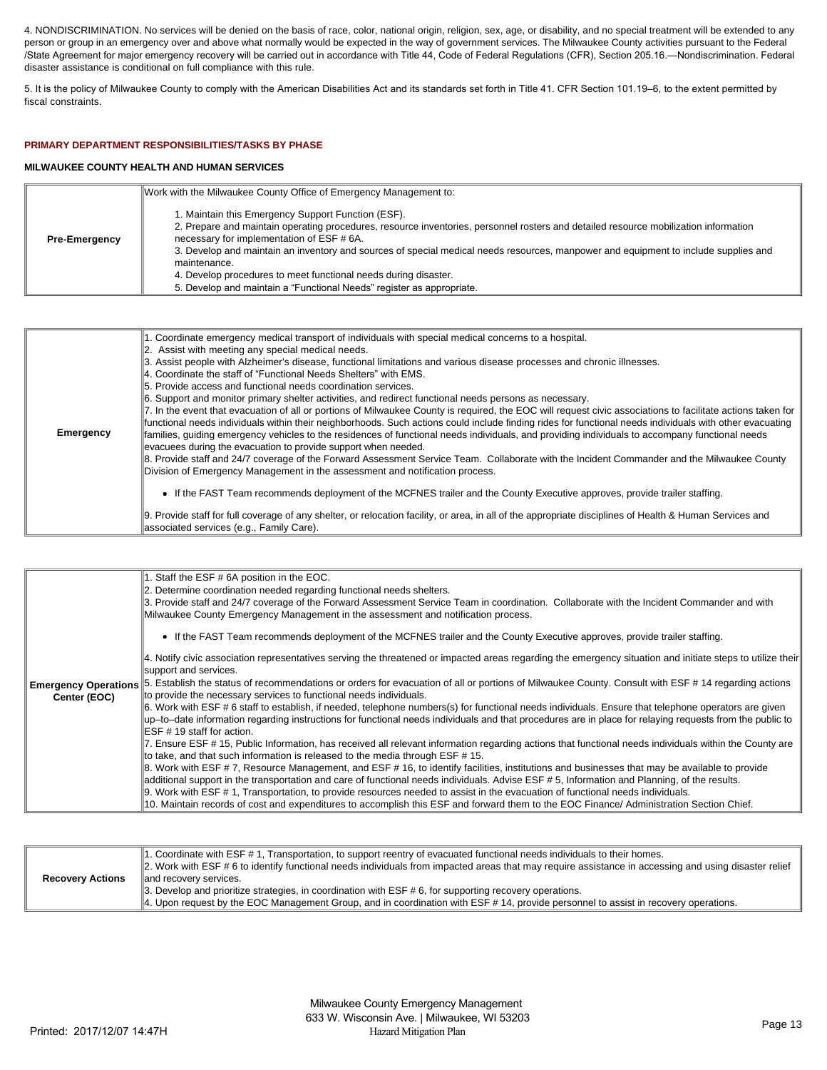4. NONDISCRIMINATION. No services will be denied on the basis of race, color, national origin, religion, sex, age, or disability, and no special treatment will be extended to any person or group in an emergency over and above what normally would be expected in the way of government services. The Milwaukee County activities pursuant to the Federal /State Agreement for major emergency recovery will be carried out in accordance with Title 44, Code of Federal Regulations (CFR), Section 205.16.—Nondiscrimination. Federal disaster assistance is conditional on full compliance with this rule.

5. It is the policy of Milwaukee County to comply with the American Disabilities Act and its standards set forth in Title 41. CFR Section 101.19–6, to the extent permitted by fiscal constraints.

### **PRIMARY DEPARTMENT RESPONSIBILITIES/TASKS BY PHASE**

### **MILWAUKEE COUNTY HEALTH AND HUMAN SERVICES**

|                      | Work with the Milwaukee County Office of Emergency Management to:                                                                                                                                                                                                                                                                                                                                                                                                                                                                       |
|----------------------|-----------------------------------------------------------------------------------------------------------------------------------------------------------------------------------------------------------------------------------------------------------------------------------------------------------------------------------------------------------------------------------------------------------------------------------------------------------------------------------------------------------------------------------------|
| <b>Pre-Emergency</b> | Maintain this Emergency Support Function (ESF).<br>2. Prepare and maintain operating procedures, resource inventories, personnel rosters and detailed resource mobilization information<br>necessary for implementation of ESF # 6A.<br>3. Develop and maintain an inventory and sources of special medical needs resources, manpower and equipment to include supplies and<br>maintenance.<br>4. Develop procedures to meet functional needs during disaster.<br>5. Develop and maintain a "Functional Needs" register as appropriate. |

| <b>Emergency</b> | 1. Coordinate emergency medical transport of individuals with special medical concerns to a hospital.<br>2. Assist with meeting any special medical needs.<br>3. Assist people with Alzheimer's disease, functional limitations and various disease processes and chronic illnesses.<br>4. Coordinate the staff of "Functional Needs Shelters" with EMS.<br>5. Provide access and functional needs coordination services.<br>6. Support and monitor primary shelter activities, and redirect functional needs persons as necessary.<br>7. In the event that evacuation of all or portions of Milwaukee County is required, the EOC will request civic associations to facilitate actions taken for<br>functional needs individuals within their neighborhoods. Such actions could include finding rides for functional needs individuals with other evacuating<br>families, quiding emergency vehicles to the residences of functional needs individuals, and providing individuals to accompany functional needs |
|------------------|-------------------------------------------------------------------------------------------------------------------------------------------------------------------------------------------------------------------------------------------------------------------------------------------------------------------------------------------------------------------------------------------------------------------------------------------------------------------------------------------------------------------------------------------------------------------------------------------------------------------------------------------------------------------------------------------------------------------------------------------------------------------------------------------------------------------------------------------------------------------------------------------------------------------------------------------------------------------------------------------------------------------|
|                  |                                                                                                                                                                                                                                                                                                                                                                                                                                                                                                                                                                                                                                                                                                                                                                                                                                                                                                                                                                                                                   |
|                  |                                                                                                                                                                                                                                                                                                                                                                                                                                                                                                                                                                                                                                                                                                                                                                                                                                                                                                                                                                                                                   |
|                  | evacuees during the evacuation to provide support when needed.                                                                                                                                                                                                                                                                                                                                                                                                                                                                                                                                                                                                                                                                                                                                                                                                                                                                                                                                                    |
|                  | 8. Provide staff and 24/7 coverage of the Forward Assessment Service Team. Collaborate with the Incident Commander and the Milwaukee County<br>Division of Emergency Management in the assessment and notification process.                                                                                                                                                                                                                                                                                                                                                                                                                                                                                                                                                                                                                                                                                                                                                                                       |
|                  | • If the FAST Team recommends deployment of the MCFNES trailer and the County Executive approves, provide trailer staffing.                                                                                                                                                                                                                                                                                                                                                                                                                                                                                                                                                                                                                                                                                                                                                                                                                                                                                       |
|                  | 9. Provide staff for full coverage of any shelter, or relocation facility, or area, in all of the appropriate disciplines of Health & Human Services and<br>associated services (e.g., Family Care).                                                                                                                                                                                                                                                                                                                                                                                                                                                                                                                                                                                                                                                                                                                                                                                                              |

|                         | 1. Coordinate with ESF #1, Transportation, to support reentry of evacuated functional needs individuals to their homes.<br>2. Work with ESF # 6 to identify functional needs individuals from impacted areas that may require assistance in accessing and using disaster relief |
|-------------------------|---------------------------------------------------------------------------------------------------------------------------------------------------------------------------------------------------------------------------------------------------------------------------------|
| <b>Recovery Actions</b> | and recovery services.                                                                                                                                                                                                                                                          |
|                         | $\parallel$ 3. Develop and prioritize strategies, in coordination with ESF # 6, for supporting recovery operations.                                                                                                                                                             |
|                         | 4. Upon request by the EOC Management Group, and in coordination with ESF #14, provide personnel to assist in recovery operations.                                                                                                                                              |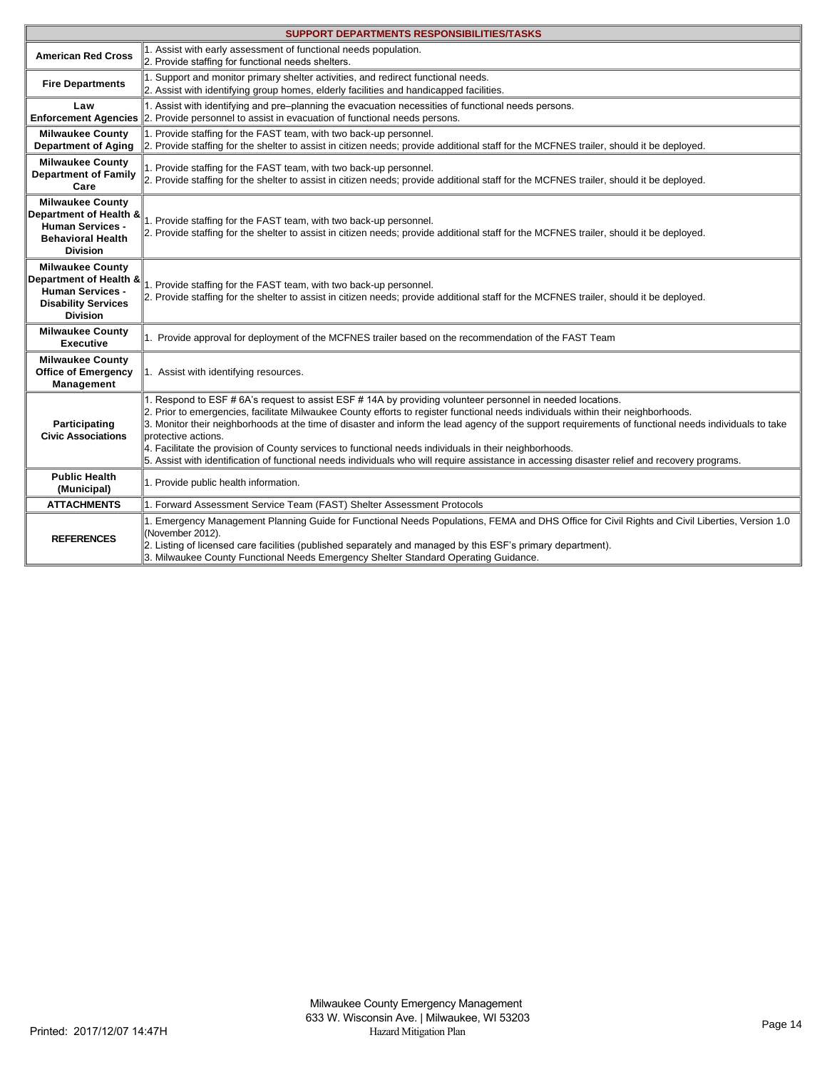| SUPPORT DEPARTMENTS RESPONSIBILITIES/TASKS                                                                                    |                                                                                                                                                                                                                                                                                                                                                                                                                                                                                                                                                                                                                                                                                            |  |
|-------------------------------------------------------------------------------------------------------------------------------|--------------------------------------------------------------------------------------------------------------------------------------------------------------------------------------------------------------------------------------------------------------------------------------------------------------------------------------------------------------------------------------------------------------------------------------------------------------------------------------------------------------------------------------------------------------------------------------------------------------------------------------------------------------------------------------------|--|
| <b>American Red Cross</b>                                                                                                     | 1. Assist with early assessment of functional needs population.<br>2. Provide staffing for functional needs shelters.                                                                                                                                                                                                                                                                                                                                                                                                                                                                                                                                                                      |  |
| <b>Fire Departments</b>                                                                                                       | 1. Support and monitor primary shelter activities, and redirect functional needs.<br>2. Assist with identifying group homes, elderly facilities and handicapped facilities.                                                                                                                                                                                                                                                                                                                                                                                                                                                                                                                |  |
| Law                                                                                                                           | 1. Assist with identifying and pre-planning the evacuation necessities of functional needs persons.<br><b>Enforcement Agencies</b> 2. Provide personnel to assist in evacuation of functional needs persons.                                                                                                                                                                                                                                                                                                                                                                                                                                                                               |  |
| <b>Milwaukee County</b><br><b>Department of Aging</b>                                                                         | 1. Provide staffing for the FAST team, with two back-up personnel.<br>2. Provide staffing for the shelter to assist in citizen needs; provide additional staff for the MCFNES trailer, should it be deployed.                                                                                                                                                                                                                                                                                                                                                                                                                                                                              |  |
| <b>Milwaukee County</b><br><b>Department of Family</b><br>Care                                                                | 1. Provide staffing for the FAST team, with two back-up personnel.<br>2. Provide staffing for the shelter to assist in citizen needs; provide additional staff for the MCFNES trailer, should it be deployed.                                                                                                                                                                                                                                                                                                                                                                                                                                                                              |  |
| <b>Milwaukee County</b><br>Department of Health &<br><b>Human Services -</b><br><b>Behavioral Health</b><br><b>Division</b>   | 1. Provide staffing for the FAST team, with two back-up personnel.<br>2. Provide staffing for the shelter to assist in citizen needs; provide additional staff for the MCFNES trailer, should it be deployed.                                                                                                                                                                                                                                                                                                                                                                                                                                                                              |  |
| <b>Milwaukee County</b><br>Department of Health &<br><b>Human Services -</b><br><b>Disability Services</b><br><b>Division</b> | 1. Provide staffing for the FAST team, with two back-up personnel.<br>2. Provide staffing for the shelter to assist in citizen needs; provide additional staff for the MCFNES trailer, should it be deployed.                                                                                                                                                                                                                                                                                                                                                                                                                                                                              |  |
| <b>Milwaukee County</b><br><b>Executive</b>                                                                                   | 1. Provide approval for deployment of the MCFNES trailer based on the recommendation of the FAST Team                                                                                                                                                                                                                                                                                                                                                                                                                                                                                                                                                                                      |  |
| <b>Milwaukee County</b><br><b>Office of Emergency</b><br>Management                                                           | 1. Assist with identifying resources.                                                                                                                                                                                                                                                                                                                                                                                                                                                                                                                                                                                                                                                      |  |
| Participating<br><b>Civic Associations</b>                                                                                    | 1. Respond to ESF # 6A's request to assist ESF # 14A by providing volunteer personnel in needed locations.<br>2. Prior to emergencies, facilitate Milwaukee County efforts to register functional needs individuals within their neighborhoods.<br>3. Monitor their neighborhoods at the time of disaster and inform the lead agency of the support requirements of functional needs individuals to take<br>protective actions.<br>4. Facilitate the provision of County services to functional needs individuals in their neighborhoods.<br>5. Assist with identification of functional needs individuals who will require assistance in accessing disaster relief and recovery programs. |  |
| <b>Public Health</b><br>(Municipal)                                                                                           | 1. Provide public health information.                                                                                                                                                                                                                                                                                                                                                                                                                                                                                                                                                                                                                                                      |  |
| <b>ATTACHMENTS</b>                                                                                                            | 1. Forward Assessment Service Team (FAST) Shelter Assessment Protocols                                                                                                                                                                                                                                                                                                                                                                                                                                                                                                                                                                                                                     |  |
| <b>REFERENCES</b>                                                                                                             | 1. Emergency Management Planning Guide for Functional Needs Populations, FEMA and DHS Office for Civil Rights and Civil Liberties, Version 1.0<br>(November 2012).<br>2. Listing of licensed care facilities (published separately and managed by this ESF's primary department).<br>3. Milwaukee County Functional Needs Emergency Shelter Standard Operating Guidance.                                                                                                                                                                                                                                                                                                                   |  |